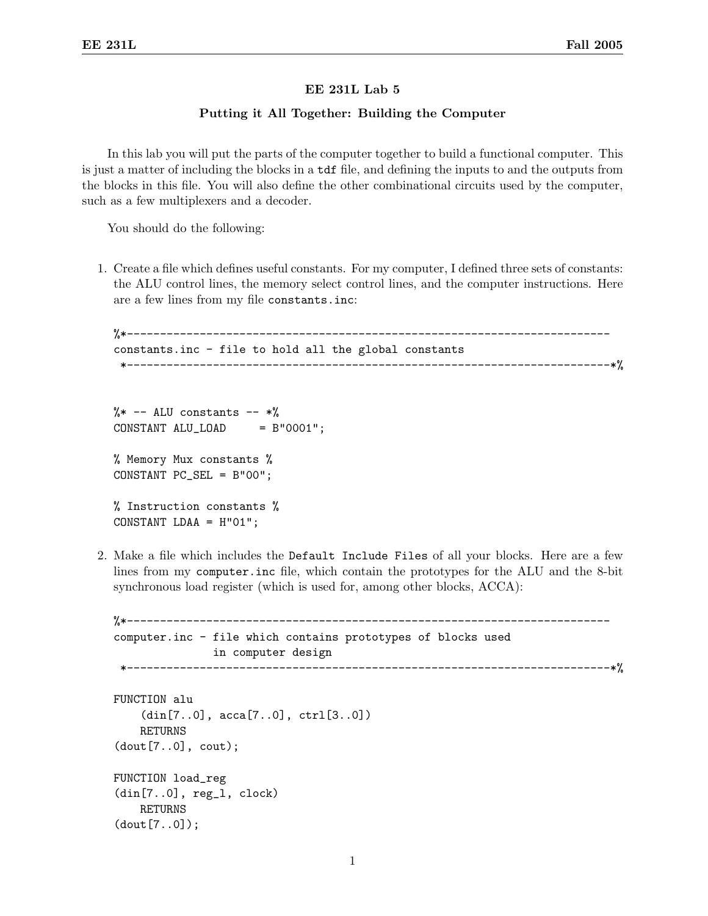## EE 231L Lab 5

## Putting it All Together: Building the Computer

In this lab you will put the parts of the computer together to build a functional computer. This is just a matter of including the blocks in a tdf file, and defining the inputs to and the outputs from the blocks in this file. You will also define the other combinational circuits used by the computer, such as a few multiplexers and a decoder.

You should do the following:

1. Create a file which defines useful constants. For my computer, I defined three sets of constants: the ALU control lines, the memory select control lines, and the computer instructions. Here are a few lines from my file constants.inc:

```
%*-------------------------------------------------------------------------
constants.inc - file to hold all the global constants
 *-------------------------------------------------------------------------*%
```

```
\frac{9}{8} -- ALU constants -- *\%CONSTANT ALU_LOAD = B"0001";
% Memory Mux constants %
CONSTANT PC_SEL = B"00";
% Instruction constants %
CONSTANT LDAA = H"01";
```
2. Make a file which includes the Default Include Files of all your blocks. Here are a few lines from my computer.inc file, which contain the prototypes for the ALU and the 8-bit synchronous load register (which is used for, among other blocks, ACCA):

```
%*-------------------------------------------------------------------------
computer.inc - file which contains prototypes of blocks used
                 in computer design
                                     *-------------------------------------------------------------------------*%
FUNCTION alu
    (din[7..0], acca[7..0], ctrl[3..0])
    RETURNS
(dout[7..0], cout);
FUNCTION load_reg
(din[7..0], reg_l, clock)
    RETURNS
(dout[7..0]);
```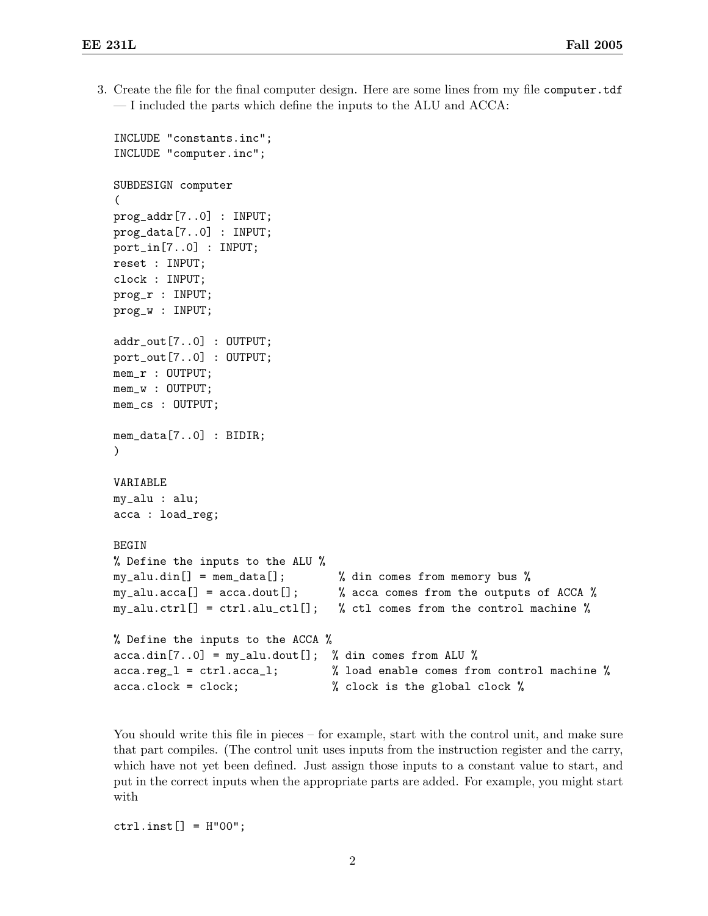3. Create the file for the final computer design. Here are some lines from my file computer.tdf — I included the parts which define the inputs to the ALU and ACCA:

```
INCLUDE "constants.inc";
INCLUDE "computer.inc";
SUBDESIGN computer
(
prog_addr[7..0] : INPUT;
prog_data[7..0] : INPUT;
port_in[7..0] : INPUT;
reset : INPUT;
clock : INPUT;
prog_r : INPUT;
prog_w : INPUT;
addr_out[7..0] : OUTPUT;
port_out[7..0] : OUTPUT;
mem_r : OUTPUT;
mem_w : OUTPUT;
mem_cs : OUTPUT;
mem_data[7..0] : BIDIR;
)
VARIABLE
my_alu : alu;
acca : load_reg;
BEGIN
% Define the inputs to the ALU %
my_alu.din[] = mem_data[]; % din comes from memory bus %
my_alu.acca[] = acca.dout[]; % acca comes from the outputs of ACCA %
my_alu.ctrl[] = ctrl.alu_ctl[]; % ctl comes from the control machine %
% Define the inputs to the ACCA %
acca.dim[7..0] = my_alu.dout[]; % din comes from ALU %
acca.reg_l = ctrl.acca_l; % load enable comes from control machine %
acca.clock = clock; % clock is the global clock %
```
You should write this file in pieces – for example, start with the control unit, and make sure that part compiles. (The control unit uses inputs from the instruction register and the carry, which have not yet been defined. Just assign those inputs to a constant value to start, and put in the correct inputs when the appropriate parts are added. For example, you might start with

 $ctrl.insert[] = H"00";$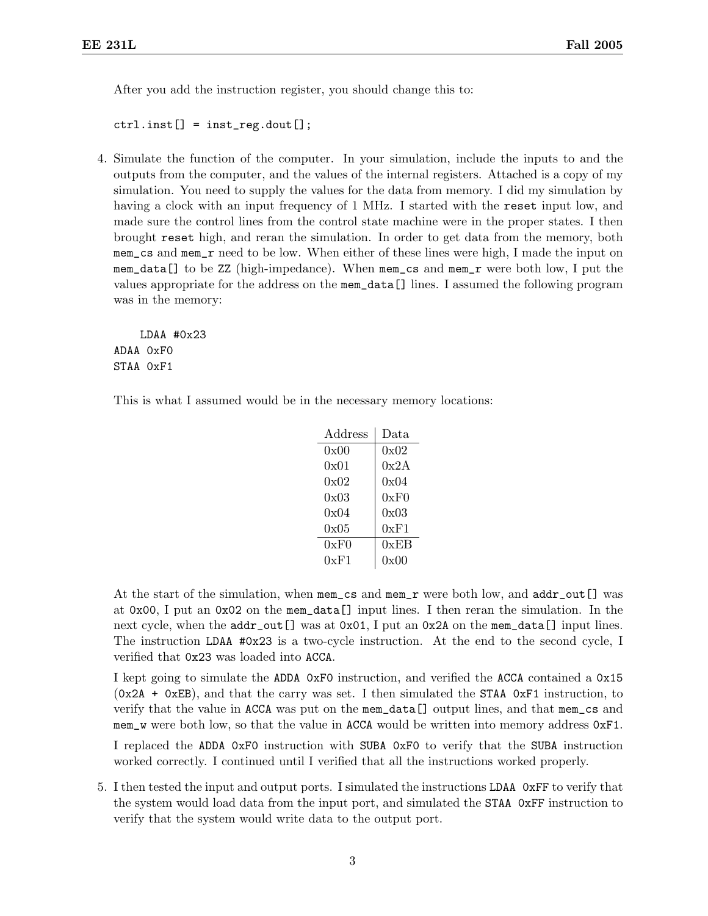After you add the instruction register, you should change this to:

 $ctrl.insert[] = inst_reg.dot[];$ 

4. Simulate the function of the computer. In your simulation, include the inputs to and the outputs from the computer, and the values of the internal registers. Attached is a copy of my simulation. You need to supply the values for the data from memory. I did my simulation by having a clock with an input frequency of 1 MHz. I started with the reset input low, and made sure the control lines from the control state machine were in the proper states. I then brought reset high, and reran the simulation. In order to get data from the memory, both mem\_cs and mem\_r need to be low. When either of these lines were high, I made the input on mem\_data[] to be ZZ (high-impedance). When mem\_cs and mem\_r were both low, I put the values appropriate for the address on the mem\_data[] lines. I assumed the following program was in the memory:

LDAA #0x23 ADAA 0xF0 STAA 0xF1

This is what I assumed would be in the necessary memory locations:

| Address | Data |
|---------|------|
| 0x00    | 0x02 |
| 0x01    | 0x2A |
| 0x02    | 0x04 |
| 0x03    | 0xF0 |
| 0x04    | 0x03 |
| 0x05    | 0xF1 |
| 0xF0    | 0xEB |
| 0xF1    | 0x00 |

At the start of the simulation, when mem\_cs and mem\_r were both low, and addr\_out[] was at 0x00, I put an 0x02 on the mem\_data[] input lines. I then reran the simulation. In the next cycle, when the  $addr\_out[]$  was at 0x01, I put an 0x2A on the mem\_data[] input lines. The instruction LDAA #0x23 is a two-cycle instruction. At the end to the second cycle, I verified that 0x23 was loaded into ACCA.

I kept going to simulate the ADDA 0xF0 instruction, and verified the ACCA contained a 0x15  $(0x2A + 0xEB)$ , and that the carry was set. I then simulated the STAA 0xF1 instruction, to verify that the value in ACCA was put on the mem\_data[] output lines, and that mem\_cs and mem\_w were both low, so that the value in ACCA would be written into memory address 0xF1.

I replaced the ADDA 0xF0 instruction with SUBA 0xF0 to verify that the SUBA instruction worked correctly. I continued until I verified that all the instructions worked properly.

5. I then tested the input and output ports. I simulated the instructions LDAA 0xFF to verify that the system would load data from the input port, and simulated the STAA 0xFF instruction to verify that the system would write data to the output port.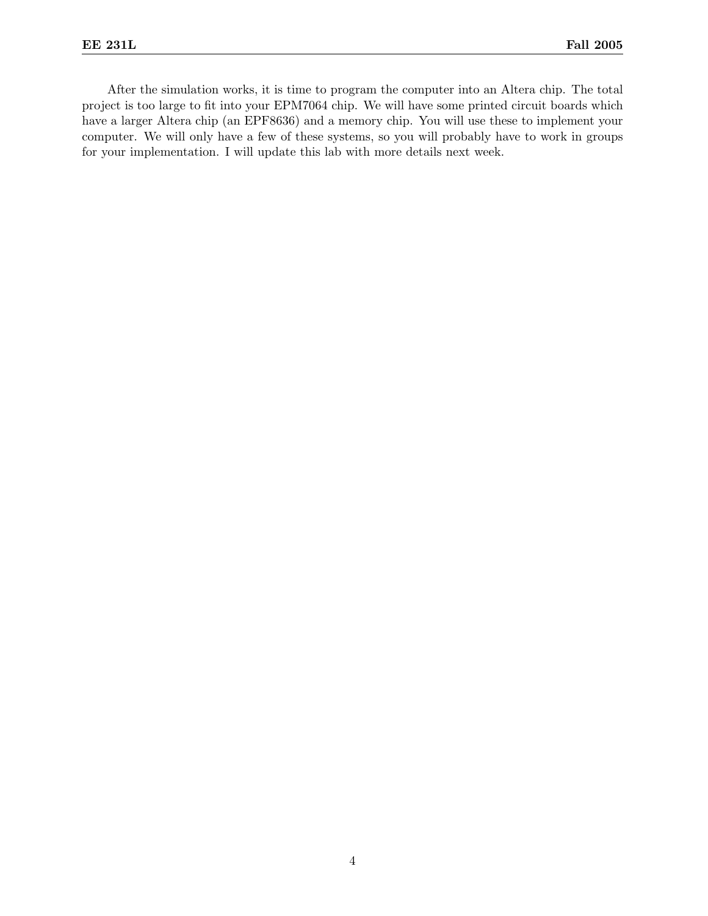After the simulation works, it is time to program the computer into an Altera chip. The total project is too large to fit into your EPM7064 chip. We will have some printed circuit boards which have a larger Altera chip (an EPF8636) and a memory chip. You will use these to implement your computer. We will only have a few of these systems, so you will probably have to work in groups for your implementation. I will update this lab with more details next week.